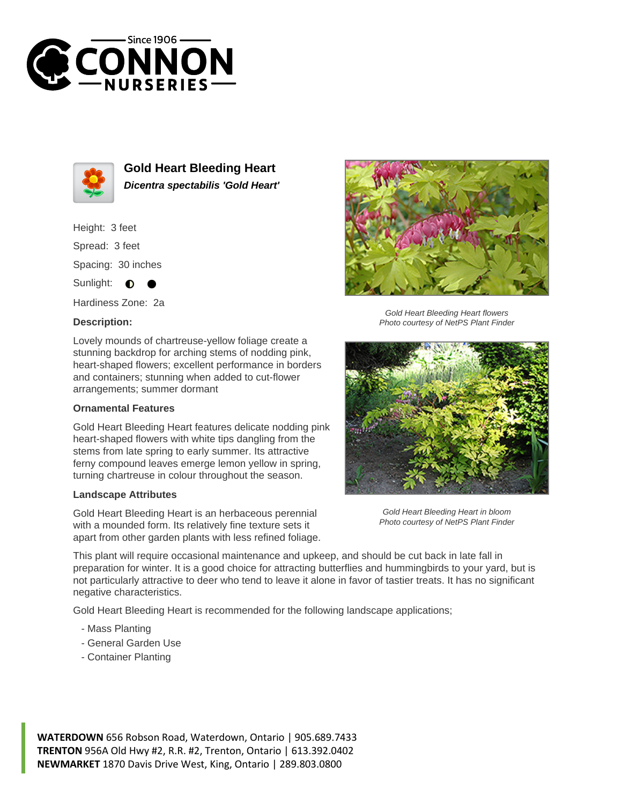



**Gold Heart Bleeding Heart Dicentra spectabilis 'Gold Heart'**

Height: 3 feet Spread: 3 feet Spacing: 30 inches Sunlight: **O** 

Hardiness Zone: 2a

## **Description:**

Lovely mounds of chartreuse-yellow foliage create a stunning backdrop for arching stems of nodding pink, heart-shaped flowers; excellent performance in borders and containers; stunning when added to cut-flower arrangements; summer dormant

## **Ornamental Features**

Gold Heart Bleeding Heart features delicate nodding pink heart-shaped flowers with white tips dangling from the stems from late spring to early summer. Its attractive ferny compound leaves emerge lemon yellow in spring, turning chartreuse in colour throughout the season.

## **Landscape Attributes**

Gold Heart Bleeding Heart is an herbaceous perennial with a mounded form. Its relatively fine texture sets it apart from other garden plants with less refined foliage.



Gold Heart Bleeding Heart flowers Photo courtesy of NetPS Plant Finder



Gold Heart Bleeding Heart in bloom Photo courtesy of NetPS Plant Finder

This plant will require occasional maintenance and upkeep, and should be cut back in late fall in preparation for winter. It is a good choice for attracting butterflies and hummingbirds to your yard, but is not particularly attractive to deer who tend to leave it alone in favor of tastier treats. It has no significant negative characteristics.

Gold Heart Bleeding Heart is recommended for the following landscape applications;

- Mass Planting
- General Garden Use
- Container Planting

**WATERDOWN** 656 Robson Road, Waterdown, Ontario | 905.689.7433 **TRENTON** 956A Old Hwy #2, R.R. #2, Trenton, Ontario | 613.392.0402 **NEWMARKET** 1870 Davis Drive West, King, Ontario | 289.803.0800